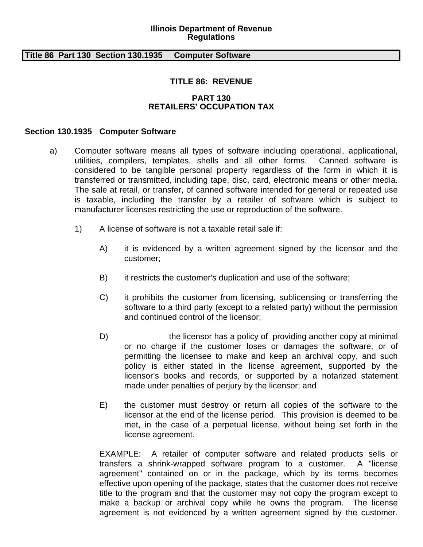#### **Illinois Department of Revenue Regulations**

### **Title 86 Part 130 Section 130.1935 Computer Software**

# **TITLE 86: REVENUE**

## **PART 130 RETAILERS' OCCUPATION TAX**

### **Section 130.1935 Computer Software**

- a) Computer software means all types of software including operational, applicational, utilities, compilers, templates, shells and all other forms. Canned software is considered to be tangible personal property regardless of the form in which it is transferred or transmitted, including tape, disc, card, electronic means or other media. The sale at retail, or transfer, of canned software intended for general or repeated use is taxable, including the transfer by a retailer of software which is subject to manufacturer licenses restricting the use or reproduction of the software.
	- 1) A license of software is not a taxable retail sale if:
		- A) it is evidenced by a written agreement signed by the licensor and the customer;
		- B) it restricts the customer's duplication and use of the software;
		- C) it prohibits the customer from licensing, sublicensing or transferring the software to a third party (except to a related party) without the permission and continued control of the licensor;
		- D) the licensor has a policy of providing another copy at minimal or no charge if the customer loses or damages the software, or of permitting the licensee to make and keep an archival copy, and such policy is either stated in the license agreement, supported by the licensor's books and records, or supported by a notarized statement made under penalties of perjury by the licensor; and
		- E) the customer must destroy or return all copies of the software to the licensor at the end of the license period. This provision is deemed to be met, in the case of a perpetual license, without being set forth in the license agreement.

EXAMPLE: A retailer of computer software and related products sells or transfers a shrink-wrapped software program to a customer. A "license agreement" contained on or in the package, which by its terms becomes effective upon opening of the package, states that the customer does not receive title to the program and that the customer may not copy the program except to make a backup or archival copy while he owns the program. The license agreement is not evidenced by a written agreement signed by the customer.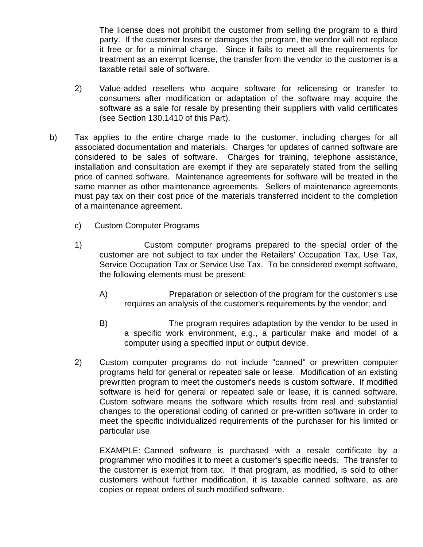The license does not prohibit the customer from selling the program to a third party. If the customer loses or damages the program, the vendor will not replace it free or for a minimal charge. Since it fails to meet all the requirements for treatment as an exempt license, the transfer from the vendor to the customer is a taxable retail sale of software.

- 2) Value-added resellers who acquire software for relicensing or transfer to consumers after modification or adaptation of the software may acquire the software as a sale for resale by presenting their suppliers with valid certificates (see Section 130.1410 of this Part).
- b) Tax applies to the entire charge made to the customer, including charges for all associated documentation and materials. Charges for updates of canned software are considered to be sales of software. Charges for training, telephone assistance, installation and consultation are exempt if they are separately stated from the selling price of canned software. Maintenance agreements for software will be treated in the same manner as other maintenance agreements. Sellers of maintenance agreements must pay tax on their cost price of the materials transferred incident to the completion of a maintenance agreement.
	- c) Custom Computer Programs
	- 1) Custom computer programs prepared to the special order of the customer are not subject to tax under the Retailers' Occupation Tax, Use Tax, Service Occupation Tax or Service Use Tax. To be considered exempt software, the following elements must be present:
		- A) Preparation or selection of the program for the customer's use requires an analysis of the customer's requirements by the vendor; and
		- B) The program requires adaptation by the vendor to be used in a specific work environment, e.g., a particular make and model of a computer using a specified input or output device.
	- 2) Custom computer programs do not include "canned" or prewritten computer programs held for general or repeated sale or lease. Modification of an existing prewritten program to meet the customer's needs is custom software. If modified software is held for general or repeated sale or lease, it is canned software. Custom software means the software which results from real and substantial changes to the operational coding of canned or pre-written software in order to meet the specific individualized requirements of the purchaser for his limited or particular use.

EXAMPLE: Canned software is purchased with a resale certificate by a programmer who modifies it to meet a customer's specific needs. The transfer to the customer is exempt from tax. If that program, as modified, is sold to other customers without further modification, it is taxable canned software, as are copies or repeat orders of such modified software.